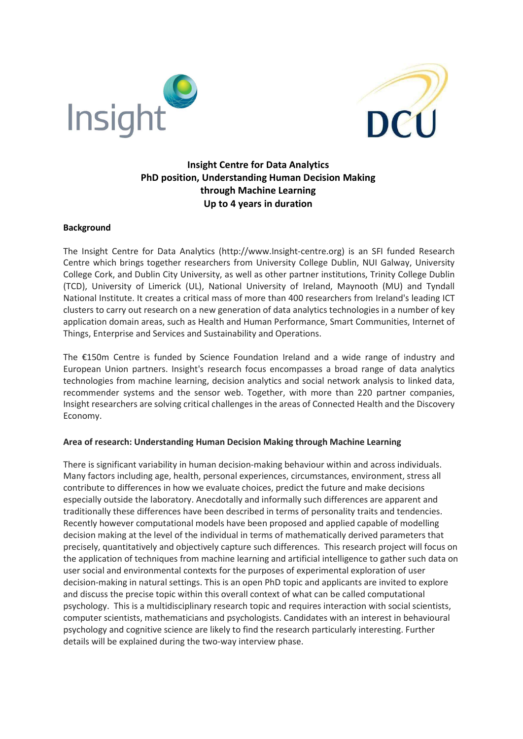



# Insight Centre for Data Analytics PhD position, Understanding Human Decision Making through Machine Learning Up to 4 years in duration

#### Background

The Insight Centre for Data Analytics (http://www.Insight-centre.org) is an SFI funded Research Centre which brings together researchers from University College Dublin, NUI Galway, University College Cork, and Dublin City University, as well as other partner institutions, Trinity College Dublin (TCD), University of Limerick (UL), National University of Ireland, Maynooth (MU) and Tyndall National Institute. It creates a critical mass of more than 400 researchers from Ireland's leading ICT clusters to carry out research on a new generation of data analytics technologies in a number of key application domain areas, such as Health and Human Performance, Smart Communities, Internet of Things, Enterprise and Services and Sustainability and Operations.

The €150m Centre is funded by Science Foundation Ireland and a wide range of industry and European Union partners. Insight's research focus encompasses a broad range of data analytics technologies from machine learning, decision analytics and social network analysis to linked data, recommender systems and the sensor web. Together, with more than 220 partner companies, Insight researchers are solving critical challenges in the areas of Connected Health and the Discovery Economy.

#### Area of research: Understanding Human Decision Making through Machine Learning

There is significant variability in human decision-making behaviour within and across individuals. Many factors including age, health, personal experiences, circumstances, environment, stress all contribute to differences in how we evaluate choices, predict the future and make decisions especially outside the laboratory. Anecdotally and informally such differences are apparent and traditionally these differences have been described in terms of personality traits and tendencies. Recently however computational models have been proposed and applied capable of modelling decision making at the level of the individual in terms of mathematically derived parameters that precisely, quantitatively and objectively capture such differences. This research project will focus on the application of techniques from machine learning and artificial intelligence to gather such data on user social and environmental contexts for the purposes of experimental exploration of user decision-making in natural settings. This is an open PhD topic and applicants are invited to explore and discuss the precise topic within this overall context of what can be called computational psychology. This is a multidisciplinary research topic and requires interaction with social scientists, computer scientists, mathematicians and psychologists. Candidates with an interest in behavioural psychology and cognitive science are likely to find the research particularly interesting. Further details will be explained during the two-way interview phase.